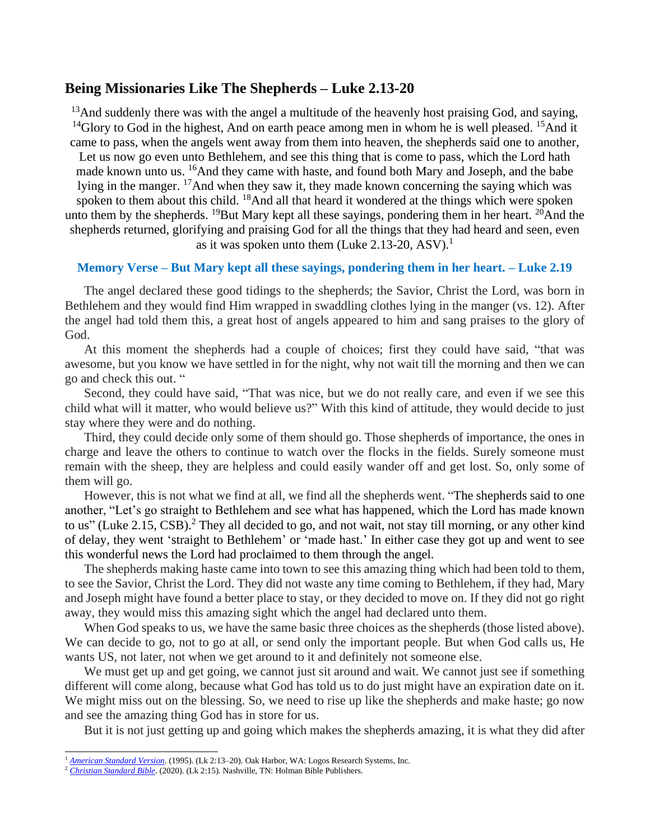## **Being Missionaries Like The Shepherds – Luke 2.13-20**

 $13$ And suddenly there was with the angel a multitude of the heavenly host praising God, and saying, <sup>14</sup>Glory to God in the highest, And on earth peace among men in whom he is well pleased. <sup>15</sup>And it came to pass, when the angels went away from them into heaven, the shepherds said one to another, Let us now go even unto Bethlehem, and see this thing that is come to pass, which the Lord hath made known unto us. <sup>16</sup>And they came with haste, and found both Mary and Joseph, and the babe lying in the manger. <sup>17</sup>And when they saw it, they made known concerning the saying which was spoken to them about this child. <sup>18</sup>And all that heard it wondered at the things which were spoken unto them by the shepherds. <sup>19</sup>But Mary kept all these sayings, pondering them in her heart. <sup>20</sup>And the shepherds returned, glorifying and praising God for all the things that they had heard and seen, even as it was spoken unto them (Luke 2.13-20, ASV).<sup>1</sup>

## **Memory Verse – But Mary kept all these sayings, pondering them in her heart. – Luke 2.19**

The angel declared these good tidings to the shepherds; the Savior, Christ the Lord, was born in Bethlehem and they would find Him wrapped in swaddling clothes lying in the manger (vs. 12). After the angel had told them this, a great host of angels appeared to him and sang praises to the glory of God.

At this moment the shepherds had a couple of choices; first they could have said, "that was awesome, but you know we have settled in for the night, why not wait till the morning and then we can go and check this out. "

Second, they could have said, "That was nice, but we do not really care, and even if we see this child what will it matter, who would believe us?" With this kind of attitude, they would decide to just stay where they were and do nothing.

Third, they could decide only some of them should go. Those shepherds of importance, the ones in charge and leave the others to continue to watch over the flocks in the fields. Surely someone must remain with the sheep, they are helpless and could easily wander off and get lost. So, only some of them will go.

However, this is not what we find at all, we find all the shepherds went. "The shepherds said to one another, "Let's go straight to Bethlehem and see what has happened, which the Lord has made known to us" (Luke 2.15, CSB).<sup>2</sup> They all decided to go, and not wait, not stay till morning, or any other kind of delay, they went 'straight to Bethlehem' or 'made hast.' In either case they got up and went to see this wonderful news the Lord had proclaimed to them through the angel.

The shepherds making haste came into town to see this amazing thing which had been told to them, to see the Savior, Christ the Lord. They did not waste any time coming to Bethlehem, if they had, Mary and Joseph might have found a better place to stay, or they decided to move on. If they did not go right away, they would miss this amazing sight which the angel had declared unto them.

When God speaks to us, we have the same basic three choices as the shepherds (those listed above). We can decide to go, not to go at all, or send only the important people. But when God calls us, He wants US, not later, not when we get around to it and definitely not someone else.

We must get up and get going, we cannot just sit around and wait. We cannot just see if something different will come along, because what God has told us to do just might have an expiration date on it. We might miss out on the blessing. So, we need to rise up like the shepherds and make haste; go now and see the amazing thing God has in store for us.

But it is not just getting up and going which makes the shepherds amazing, it is what they did after

<sup>&</sup>lt;sup>1</sup> *[American Standard Version](https://ref.ly/logosres/asv?ref=BibleKJV.Lk2.13&off=0&ctx=+lying+in+a+manger.+~13%EF%BB%BFAnd+suddenly+ther)*. (1995). (Lk 2:13-20). Oak Harbor, WA: Logos Research Systems, Inc.

<sup>&</sup>lt;sup>2</sup> *[Christian Standard Bible](https://ref.ly/logosres/csb?ref=BibleCSB2.Lk2.15&off=60&ctx=returned+to+heaven%2c+~the+shepherds+said+t)*. (2020). (Lk 2:15). Nashville, TN: Holman Bible Publishers.